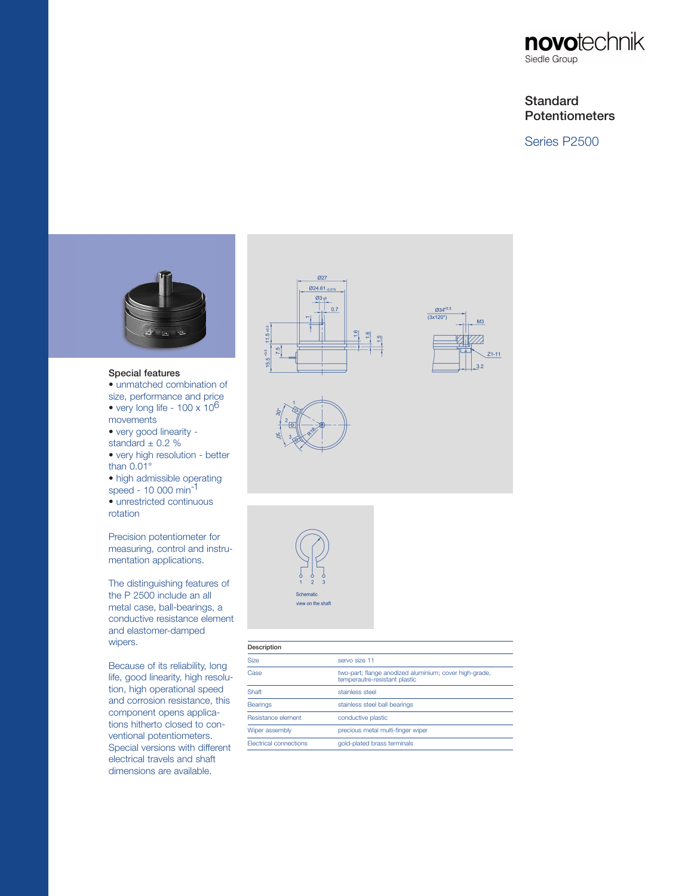

## **Standard Potentiometers**

Series P2500



## Special features

- unmatched combination of size, performance and price • very long life -  $100 \times 10^6$ movements
- very good linearity -
- standard  $\pm$  0.2 %
- very high resolution better than 0.01°
- high admissible operating speed - 10 000 min-1
- unrestricted continuous rotation

Precision potentiometer for measuring, control and instrumentation applications.

The distinguishing features of the P 2500 include an all metal case, ball-bearings, a conductive resistance element and elastomer-damped wipers.

Because of its reliability, long life, good linearity, high resolution, high operational speed and corrosion resistance, this component opens applications hitherto closed to conventional potentiometers. Special versions with different electrical travels and shaft dimensions are available.





| Description                   |                                                                                         |  |
|-------------------------------|-----------------------------------------------------------------------------------------|--|
| <b>Size</b>                   | servo size 11                                                                           |  |
| Case                          | two-part; flange anodized aluminium; cover high-grade,<br>temperautre-resistant plastic |  |
| Shaft                         | stainless steel                                                                         |  |
| <b>Bearings</b>               | stainless steel ball bearings                                                           |  |
| Resistance element            | conductive plastic                                                                      |  |
| Wiper assembly                | precious metal multi-finger wiper                                                       |  |
| <b>Flectrical connections</b> | gold-plated brass terminals                                                             |  |
|                               |                                                                                         |  |